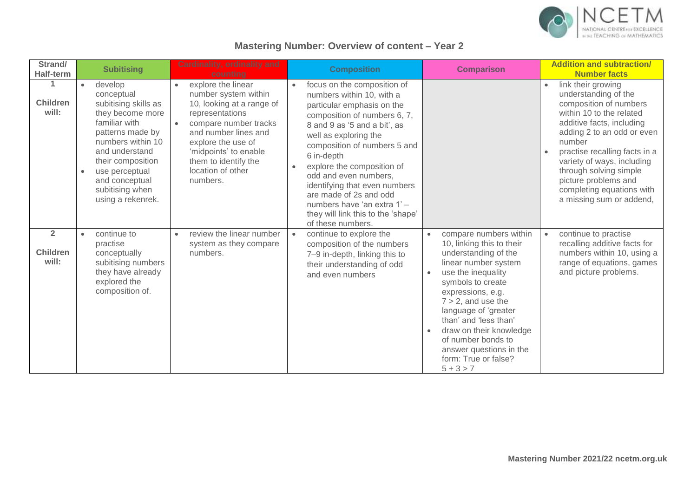

## **Mastering Number: Overview of content – Year 2**

| Strand/<br><b>Half-term</b>                | <b>Subitising</b>                                                                                                                                                                                                                                                        | Cardinality, ordinality and<br>counting                                                                                                                                                                                                                          | <b>Composition</b>                                                                                                                                                                                                                                                                                                                                                                                                                                     | <b>Comparison</b>                                                                                                                                                                                                                                                                                                                                                | <b>Addition and subtraction/</b><br><b>Number facts</b>                                                                                                                                                                                                                                                                                         |
|--------------------------------------------|--------------------------------------------------------------------------------------------------------------------------------------------------------------------------------------------------------------------------------------------------------------------------|------------------------------------------------------------------------------------------------------------------------------------------------------------------------------------------------------------------------------------------------------------------|--------------------------------------------------------------------------------------------------------------------------------------------------------------------------------------------------------------------------------------------------------------------------------------------------------------------------------------------------------------------------------------------------------------------------------------------------------|------------------------------------------------------------------------------------------------------------------------------------------------------------------------------------------------------------------------------------------------------------------------------------------------------------------------------------------------------------------|-------------------------------------------------------------------------------------------------------------------------------------------------------------------------------------------------------------------------------------------------------------------------------------------------------------------------------------------------|
| <b>Children</b><br>will:                   | develop<br>$\bullet$<br>conceptual<br>subitising skills as<br>they become more<br>familiar with<br>patterns made by<br>numbers within 10<br>and understand<br>their composition<br>use perceptual<br>$\bullet$<br>and conceptual<br>subitising when<br>using a rekenrek. | explore the linear<br>$\bullet$<br>number system within<br>10, looking at a range of<br>representations<br>compare number tracks<br>and number lines and<br>explore the use of<br>'midpoints' to enable<br>them to identify the<br>location of other<br>numbers. | focus on the composition of<br>$\bullet$<br>numbers within 10, with a<br>particular emphasis on the<br>composition of numbers 6, 7,<br>8 and 9 as '5 and a bit', as<br>well as exploring the<br>composition of numbers 5 and<br>6 in-depth<br>explore the composition of<br>odd and even numbers,<br>identifying that even numbers<br>are made of 2s and odd<br>numbers have 'an extra 1' -<br>they will link this to the 'shape'<br>of these numbers. |                                                                                                                                                                                                                                                                                                                                                                  | link their growing<br>understanding of the<br>composition of numbers<br>within 10 to the related<br>additive facts, including<br>adding 2 to an odd or even<br>number<br>practise recalling facts in a<br>variety of ways, including<br>through solving simple<br>picture problems and<br>completing equations with<br>a missing sum or addend, |
| $\overline{2}$<br><b>Children</b><br>will: | continue to<br>$\bullet$<br>practise<br>conceptually<br>subitising numbers<br>they have already<br>explored the<br>composition of.                                                                                                                                       | review the linear number<br>$\bullet$<br>system as they compare<br>numbers.                                                                                                                                                                                      | continue to explore the<br>$\bullet$<br>composition of the numbers<br>7-9 in-depth, linking this to<br>their understanding of odd<br>and even numbers                                                                                                                                                                                                                                                                                                  | compare numbers within<br>10, linking this to their<br>understanding of the<br>linear number system<br>use the inequality<br>symbols to create<br>expressions, e.g.<br>$7 > 2$ , and use the<br>language of 'greater<br>than' and 'less than'<br>draw on their knowledge<br>of number bonds to<br>answer questions in the<br>form: True or false?<br>$5 + 3 > 7$ | continue to practise<br>$\bullet$<br>recalling additive facts for<br>numbers within 10, using a<br>range of equations, games<br>and picture problems.                                                                                                                                                                                           |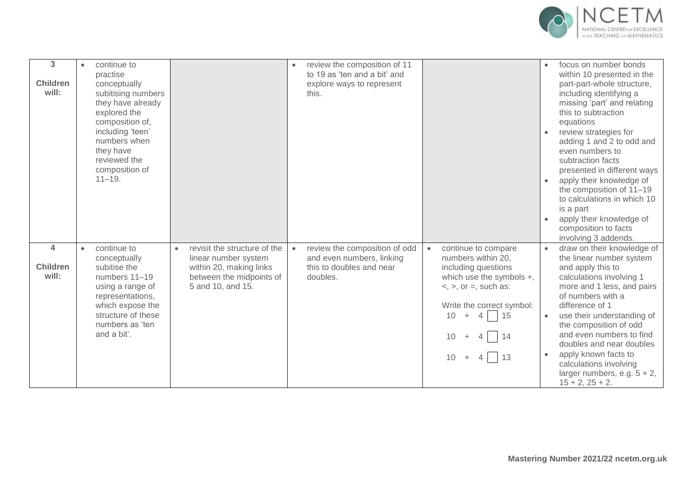

| 3<br><b>Children</b><br>will:                       | continue to<br>$\bullet$<br>practise<br>conceptually<br>subitising numbers<br>they have already<br>explored the<br>composition of,<br>including 'teen'<br>numbers when<br>they have<br>reviewed the<br>composition of<br>$11 - 19.$ |                                                                                                                                               | review the composition of 11<br>to 19 as 'ten and a bit' and<br>explore ways to represent<br>this.              |                                                                                                                                                                                                                                                      | focus on number bonds<br>within 10 presented in the<br>part-part-whole structure,<br>including identifying a<br>missing 'part' and relating<br>this to subtraction<br>equations<br>review strategies for<br>adding 1 and 2 to odd and<br>even numbers to<br>subtraction facts<br>presented in different ways<br>apply their knowledge of<br>the composition of 11-19<br>to calculations in which 10<br>is a part<br>apply their knowledge of<br>composition to facts<br>involving 3 addends. |
|-----------------------------------------------------|-------------------------------------------------------------------------------------------------------------------------------------------------------------------------------------------------------------------------------------|-----------------------------------------------------------------------------------------------------------------------------------------------|-----------------------------------------------------------------------------------------------------------------|------------------------------------------------------------------------------------------------------------------------------------------------------------------------------------------------------------------------------------------------------|----------------------------------------------------------------------------------------------------------------------------------------------------------------------------------------------------------------------------------------------------------------------------------------------------------------------------------------------------------------------------------------------------------------------------------------------------------------------------------------------|
| $\overline{\mathbf{A}}$<br><b>Children</b><br>will: | continue to<br>$\bullet$<br>conceptually<br>subitise the<br>numbers 11-19<br>using a range of<br>representations,<br>which expose the<br>structure of these<br>numbers as 'ten<br>and a bit'.                                       | revisit the structure of the<br>$\bullet$<br>linear number system<br>within 20, making links<br>between the midpoints of<br>5 and 10, and 15. | review the composition of odd<br>$\bullet$<br>and even numbers, linking<br>this to doubles and near<br>doubles. | continue to compare<br>$\bullet$<br>numbers within 20,<br>including questions<br>which use the symbols +,<br>$\langle$ , $\rangle$ , or =, such as:<br>Write the correct symbol:<br>$4 \mid 15$<br>10 <sup>°</sup><br>$+$<br>$+ 4 14$<br>$10 + 4$ 13 | draw on their knowledge of<br>the linear number system<br>and apply this to<br>calculations involving 1<br>more and 1 less, and pairs<br>of numbers with a<br>difference of 1<br>use their understanding of<br>$\bullet$<br>the composition of odd<br>and even numbers to find<br>doubles and near doubles<br>apply known facts to<br>calculations involving<br>larger numbers, e.g. $5 + 2$ ,<br>$15 + 2$ , $25 + 2$ .                                                                      |